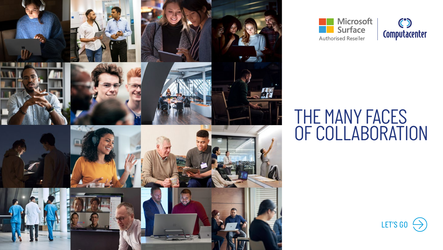



### *THE MANY FACES OF COLLABORATION*

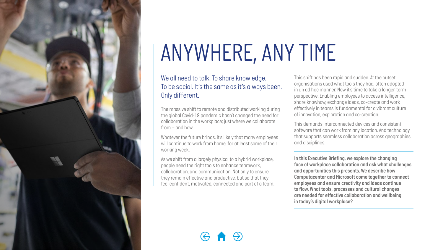<span id="page-1-0"></span>

# *ANYWHERE, ANY TIME*

### *We all need to talk. To share knowledge. To be social. It's the same as it's always been. Only different.*

*The massive shift to remote and distributed working during the global Covid-19 pandemic hasn't changed the need for collaboration in the workplace; just where we collaborate from – and how.* 

*Whatever the future brings, it's likely that many employees will continue to work from home, for at least some of their working week.* 

*As we shift from a largely physical to a hybrid workplace, people need the right tools to enhance teamwork, collaboration, and communication. Not only to ensure they remain effective and productive, but so that they feel confident, motivated, connected and part of a team.*  *This shift has been rapid and sudden. At the outset organisations used what tools they had, often adopted in an ad hoc manner. Now it's time to take a longer-term perspective. Enabling employees to access intelligence, share knowhow, exchange ideas, co-create and work effectively in teams is fundamental for a vibrant culture of innovation, exploration and co-creation.* 

*This demands interconnected devices and consistent software that can work from any location. And technology that supports seamless collaboration across geographies and disciplines.*

*In this Executive Briefing, we explore the changing face of workplace collaboration and ask what challenges and opportunities this presents. We describe how Computacenter and Microsoft come together to connect employees and ensure creativity and ideas continue to flow. What tools, processes and cultural changes are needed for effective collaboration and wellbeing in today's digital workplace?*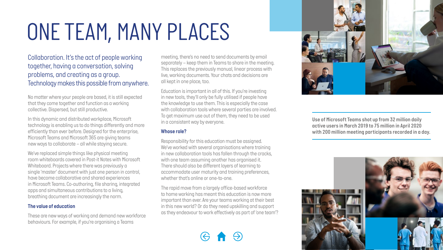### *ONE TEAM, MANY PLACES*

*Collaboration. It's the act of people working together, having a conversation, solving problems, and creating as a group. Technology makes this possible from anywhere.*

*No matter where your people are based, it is still expected that they come together and function as a working collective. Dispersed, but still productive.* 

*In this dynamic and distributed workplace, Microsoft technology is enabling us to do things differently and more efficiently than ever before. Designed for the enterprise, Microsoft Teams and Microsoft 365 are giving teams new ways to collaborate – all while staying secure.* 

*We've replaced simple things like physical meeting room whiteboards covered in Post-it Notes with Microsoft Whiteboard. Projects where there was previously a single 'master' document with just one person in control, have become collaborative and shared experiences in Microsoft Teams. Co-authoring, file sharing, integrated apps and simultaneous contributions to a living, breathing document are increasingly the norm.* 

#### *The value of education*

*These are new ways of working and demand new workforce behaviours. For example, if you're organising a Teams* 

*meeting, there's no need to send documents by email separately – keep them in Teams to share in the meeting. This replaces the previously manual, linear process with live, working documents. Your chats and decisions are all kept in one place, too.*

*Education is important in all of this. If you're investing in new tools, they'll only be fully utilised if people have the knowledge to use them. This is especially the case with collaboration tools where several parties are involved. To get maximum use out of them, they need to be used in a consistent way by everyone.*

### *Whose role?*

*Responsibility for this education must be assigned. We've worked with several organisations where training in new collaboration tools has fallen through the cracks, with one team assuming another has organised it. There should also be different layers of learning to accommodate user maturity and training preferences, whether that's online or one-to-one.* 

*The rapid move from a largely office-based workforce to home working has meant this education is now more important than ever. Are your teams working at their best in this new world? Or do they need upskilling and support as they endeavour to work effectively as part of 'one team'?*



*Use of Microsoft Teams shot up from 32 million daily active users in March 2019 to 75 million in April 2020 with 200 million meeting participants recorded in a day.*

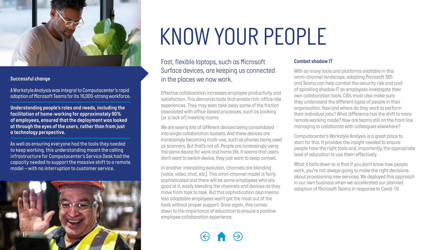

### *Successful change*

*A Workstyle Analysis was integral to Computacenter's rapid adoption of Microsoft Teams for its 16,000-strong workforce.* 

*Understanding people's roles and needs, including the facilitation of home-working for approximately 90% of employees, ensured that the deployment was looked at through the eyes of the users, rather than from just a technology perspective.* 

*As well as ensuring everyone had the tools they needed to keep working, this understanding meant the calling infrastructure for Computacenter's Service Desk had the capacity needed to support the massive shift to a remote model – with no interruption to customer service.*



### *KNOW YOUR PEOPLE*

*Fast, flexible laptops, such as Microsoft Surface devices, are keeping us connected in the places we now work.*

*Effective collaboration increases employee productivity and satisfaction. This demands tools that enable rich, office-like experiences. They may even take away some of the friction associated with office-based processes, such as booking (or a lack of) meeting rooms.*

*We are seeing lots of different devices being consolidated into single collaboration toolsets. And these devices are increasingly becoming multi-use, such as phones being used as scanners. But that's not all. People are increasingly using the same device for work and home life. It seems that users don't want to switch device, they just want to swap context.*

*In another interesting evolution, channels are blending (voice, video, chat, etc). This omni-channel model is fairly sophisticated and there will be some employees who are good at it, easily blending the channels and devices as they move from task to task. But this sophistication also means less adaptable employees won't get the most out of the tools without proper support. Once again, this comes down to the importance of education to ensure a positive employee collaboration experience.* 

### *Combat shadow IT*

*With so many tools and platforms available in this omni-channel landscape, adopting Microsoft 365 and Teams can help combat the security risk and cost of spiralling shadow IT as employees investigate their own collaboration tools. CIOs must also make sure they understand the different types of people in their organisation. How and where do they work to perform their individual jobs? What difference has the shift to more remote working made? How are teams still on the front line managing to collaborate with colleagues elsewhere?*

*Computacenter's Workstyle Analysis is a great place to start for this. It provides the insight needed to ensure people have the right tools and, importantly, the appropriate level of education to use them effectively.* 

*What it boils down to is that if you don't know how people work, you're not always going to make the right decisions about provisioning new services. We deployed this approach in our own business when we accelerated our planned adoption of Microsoft Teams in response to Covid-19.*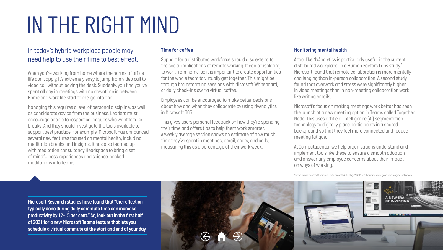### *IN THE RIGHT MIND*

### *In today's hybrid workplace people may need help to use their time to best effect.*

*When you're working from home where the norms of office life don't apply, it's extremely easy to jump from video call to video call without leaving the desk. Suddenly, you find you've spent all day in meetings with no downtime in between. Home and work life start to merge into one.*

*Managing this requires a level of personal discipline, as well as considerate advice from the business. Leaders must encourage people to respect colleagues who want to take breaks. And they should investigate the tools available to support best practice. For example, Microsoft has announced several new features focused on mental health, including meditation breaks and insights. It has also teamed up with meditation consultancy Headspace to bring a set of mindfulness experiences and science-backed meditations into Teams.*

#### *Time for coffee*

*Support for a distributed workforce should also extend to the social implications of remote working. It can be isolating to work from home, so it is important to create opportunities for the whole team to virtually get together. This might be through brainstorming sessions with Microsoft Whiteboard, or daily check-ins over a virtual coffee.* 

*Employees can be encouraged to make better decisions about how and when they collaborate by using MyAnalytics in Microsoft 365.* 

*This gives users personal feedback on how they're spending their time and offers tips to help them work smarter. A weekly average section shows an estimate of how much time they've spent in meetings, email, chats, and calls, measuring this as a percentage of their work week.* 

### *Monitoring mental health*

*A tool like MyAnalytics is particularly useful in the current distributed workplace. In a Human Factors Labs study,1 Microsoft found that remote collaboration is more mentally challenging than in-person collaboration. A second study found that overwork and stress were significantly higher in video meetings than in non-meeting collaboration work like writing emails.* 

*Microsoft's focus on making meetings work better has seen the launch of a new meeting option in Teams called Together Mode. This uses artificial intelligence (AI) segmentation technology to digitally place participants in a shared background so that they feel more connected and reduce meeting fatigue.*

*At Computacenter, we help organisations understand and implement tools like these to ensure a smooth adoption and answer any employee concerns about their impact on ways of working.*

*1 https://www.microsoft.com/en-us/microsoft-365/blog/2020/07/08/future-work-good-challenging-unknown/*

*Microsoft Research studies have found that "the reflection typically done during daily commute time can increase productivity by 12-15 per cent." So, look out in the first half of 2021 for a new Microsoft Teams feature that lets you schedule a virtual commute at the start and end of your day.*

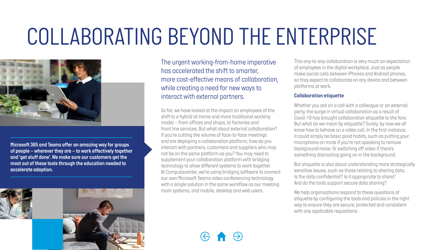# *COLLABORATING BEYOND THE ENTERPRISE*



*Microsoft 365 and Teams offer an amazing way for groups of people – wherever they are – to work effectively together and 'get stuff done'. We make sure our customers get the most out of these tools through the education needed to accelerate adoption.* 



*The urgent working-from-home imperative has accelerated the shift to smarter, more cost-effective means of collaboration, while creating a need for new ways to interact with external partners.*

*So far, we have looked at the impact on employees of the shift to a hybrid at-home and more traditional working model – from offices and shops, to factories and front line services. But what about external collaboration? If you're cutting the volume of face-to-face meetings and are deploying a collaboration platform, how do you interact with partners, customers and suppliers who may not be on the same platform as you? You may need to supplement your collaboration platform with bridging technology to allow different systems to work together. At Computacenter, we're using bridging software to connect our own Microsoft Teams video conferencing technology with a single solution in the same workflow as our meeting room systems, and mobile, desktop and web users.*

*This any-to-any collaboration is very much an expectation of employees in the digital workplace. Just as people make social calls between iPhones and Android phones, so they expect to collaborate on any device and between platforms at work.*

#### *Collaboration etiquette*

*Whether you are on a call with a colleague or an external party, the surge in virtual collaboration as a result of Covid-19 has brought collaboration etiquette to the fore. But what do we mean by etiquette? Surely, by now we all know how to behave on a video call. In the first instance, it could simply be basic good habits, such as putting your microphone on mute if you're not speaking to remove background noise. Or switching off video if there's something distracting going on in the background.*

*But etiquette is also about understanding more strategically sensitive issues, such as those relating to sharing data. Is the data confidential? Is it appropriate to share? And do the tools support secure data sharing?* 

*We help organisations respond to these questions of etiquette by configuring the tools and policies in the right way to ensure they are secure, protected and consistent with any applicable regulations.*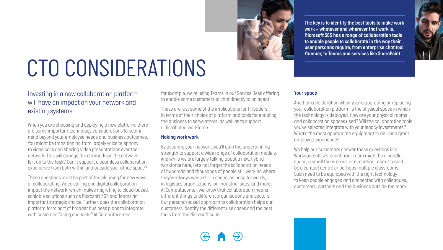

*The key is to identify the best tools to make work work – whatever and wherever that work is. Microsoft 365 has a range of collaboration tools to enable people to collaborate in the way their user personas require, from enterprise chat tool Yammer, to Teams and services like SharePoint.*

# *CTO CONSIDERATIONS*

### *Investing in a new collaboration platform will have an impact on your network and existing systems.*

*When you are choosing and deploying a new platform, there are some important technology considerations to bear in mind beyond your employee needs and business outcomes. You might be transitioning from largely voice telephony to video calls and sharing video presentations over the network. This will change the demands on the network. Is it up to the task? Can it support a seamless collaboration experience from both within and outside your office space?* 

*These questions must be part of the planning for new ways of collaborating. Video calling and digital collaboration impact the network, which makes migrating to cloud-based, scalable solutions such as Microsoft 365 and Teams an important strategic choice. Further, does the collaboration platform form part of broader business plans to integrate with customer-facing channels? At Computacenter,* 

*for example, we're using Teams in our Service Desk offering to enable some customers to chat directly to an agent.* 

*These are just some of the implications for IT leaders in terms of their choice of platform and tools for enabling the business to serve others, as well as to support a distributed workforce.* 

#### *Making work work*

*By assuring your network, you'll gain the underpinning strength to support a wide range of collaboration models. And while we are largely talking about a new, hybrid workforce here, let's not forget the collaboration needs of hundreds and thousands of people still working where they've always worked – in shops, on hospital wards, in logistics organisations, on industrial sites, and more. At Computacenter, we know that collaboration means different things to different organisations and sectors. Our persona-based approach to collaboration helps our customers identify the different use cases and the best tools from the Microsoft suite.* 

### *Your space*

*Another consideration when you're upgrading or replacing your collaboration platform is the physical space in which the technology is deployed. How are your physical rooms and collaboration spaces used? Will the collaboration tools you've selected integrate with your legacy investments? What's the most appropriate equipment to deliver a great employee experience?*

*We help our customers answer these questions in a Workspace Assessment. Your room might be a huddle space, a small focus room, or a meeting room. It could be a contact centre or perhaps multiple classrooms. Each need to be equipped with the right technology to keep people engaged and connected with colleagues, customers, partners and the business outside the room.*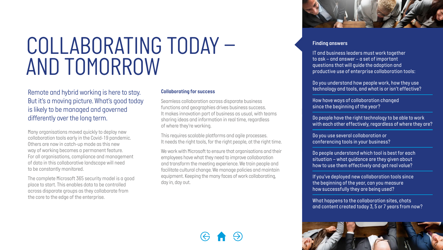### *COLLABORATING TODAY – AND TOMORROW*

*Remote and hybrid working is here to stay. But it's a moving picture. What's good today is likely to be managed and governed differently over the long term.*

*Many organisations moved quickly to deploy new collaboration tools early in the Covid-19 pandemic. Others are now in catch-up mode as this new way of working becomes a permanent feature. For all organisations, compliance and management of data in this collaborative landscape will need to be constantly monitored.* 

*The complete Microsoft 365 security model is a good place to start. This enables data to be controlled across disparate groups as they collaborate from the core to the edge of the enterprise.* 

### *Collaborating for success*

*Seamless collaboration across disparate business functions and geographies drives business success. It makes innovation part of business as usual, with teams sharing ideas and information in real time, regardless of where they're working.* 

*This requires scalable platforms and agile processes. It needs the right tools, for the right people, at the right time.* 

*We work with Microsoft to ensure that organisations and their employees have what they need to improve collaboration and transform the meeting experience. We train people and facilitate cultural change. We manage policies and maintain equipment. Keeping the many faces of work collaborating, day in, day out.*



#### *Finding answers*

*IT and business leaders must work together to ask – and answer – a set of important questions that will guide the adoption and productive use of enterprise collaboration tools:*

*Do you understand how people work, how they use technology and tools, and what is or isn't effective?*

*How have ways of collaboration changed since the beginning of the year?*

*Do people have the right technology to be able to work with each other effectively, regardless of where they are?*

*Do you use several collaboration or conferencing tools in your business?* 

*Do people understand which tool is best for each situation – what guidance are they given about how to use them effectively and get real value?*

*If you've deployed new collaboration tools since the beginning of the year, can you measure how successfully they are being used?*

*What happens to the collaboration sites, chats and content created today 3, 5 or 7 years from now?*